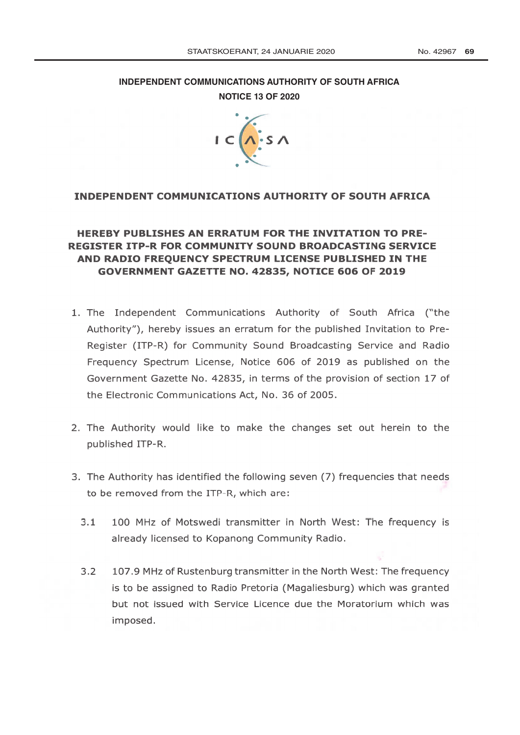## **[INDEPENDENT COMMUNICATIONS AUTHORITY OF SOUTH AFRICA](http://www.greengazette.co.za/departments/icasa) NOTICE 13 OF 2020**



## INDEPENDENT COMMUNICATIONS AUTHORITY OF SOUTH AFRICA

### Ä UISTER ITP-R FOR COMMONITT SOUND BROADCASTING SERVIC<br>ND RADIO FREQUENCY SPECTRUM LICENSE PUBLISHED IN THE<br>GOVERNMENT GAZETTE NO. 42835, NOTICE 606 OF 2019 <mark>RADIO FREQUENCY SPECTRUM LIC</mark><br>OVERNMENT GAZETTE NO. 42835, P<br>E EXEMPLES<br>BROADCASTING STRIED<br>ENSE PUBLISHED IN m rn

- 1. The [Independent](http://www.greengazette.co.za/departments/icasa) [Communications](http://www.greengazette.co.za/departments/icasa) [Authority](http://www.greengazette.co.za/departments/icasa) [of](http://www.greengazette.co.za/departments/icasa) [South Africa](http://www.greengazette.co.za/departments/icasa) ("the Authority"), hereby issues an erratum for the published Invitation to Pre-Register (ITP-R) for Community Sound Broadcasting Service and Radio Frequency Spectrum License, Notice 606 of 2019 as published on the Government Gazette No. 42835, in terms of the provision of section 17 of the Electronic Communications Act, No. 36 of 2005.
- 2. The Authority would like to make the changes set out herein to the published ITP-R.
- 3. The Authority has to be removed from the ITP-R, which are:
	- 100 MHz of Motswedi transmitter in North West: The frequency is  $3.1$ already licensed to Kopanong Community Radio.
	- $3.2$ 107.9 MHz of Rustenburg transmitter in the North West: The frequency is to be assigned to Radio Pretoria (Magaliesburg) which was granted but not issued with Service Licence due the Moratorium which was imposed.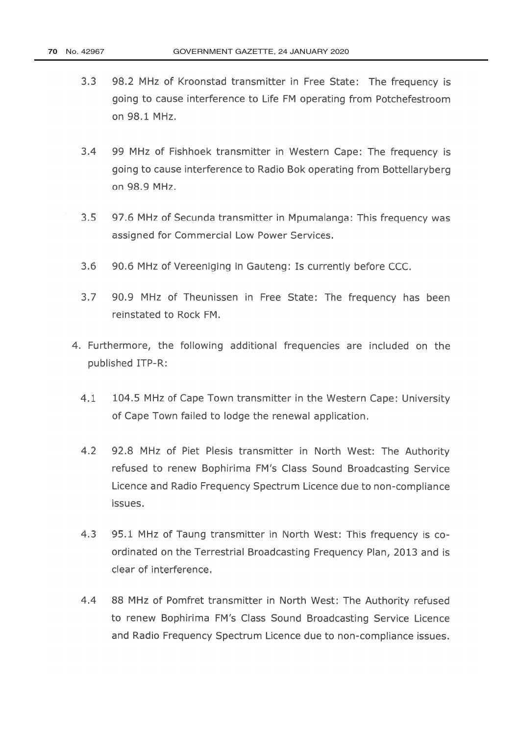- $3.3$ 98.2 MHz of Kroonstad transmitter in Free State: The frequency is going to cause interference to Life FM operating from Potchefestroom on 98.1 MHz.
- $3.4$ 99 MHz of Fishhoek transmitter in Western Cape: The frequency is going to cause interference to Radio Bok operating from Bottellaryberg on 98.9 MHz.
- $3.5$ 97.6 MHz of Secunda transmitter in Mpumalanga: This frequency was assigned for Commercial Low Power Services.
- $3.6$ 90.6 MHz of Vereeniging in Gauteng: Is currently before CCC.
- $3.7$ 90.9 MHz of Theunissen in Free State: The frequency has been reinstated to Rock FM.
- 4. Furthermore, the following additional frequencies are included on the published ITP-R:
	- $4.1$ 104.5 MHz of Cape Town transmitter in the Western Cape: University of Cape Town failed to lodge the renewal application.
	- 4.2 92.8 MHz of Piet Plesis transmitter in North West: The Authority refused to renew Bophirima FM's Class Sound Broadcasting Service Licence and Radio Frequency Spectrum Licence due to non -compliance issues.
	- $4.3$ 95.1 MHz of Taung transmitter in North West: This frequency is coordinated on the Terrestrial Broadcasting Frequency Plan, 2013 and is clear of interference.
	- 88 MHz of Pomfret transmitter in North West: The Authority refused  $4.4$ to renew Bophirima FM's Class Sound Broadcasting Service Licence and Radio Frequency Spectrum Licence due to non-compliance issues.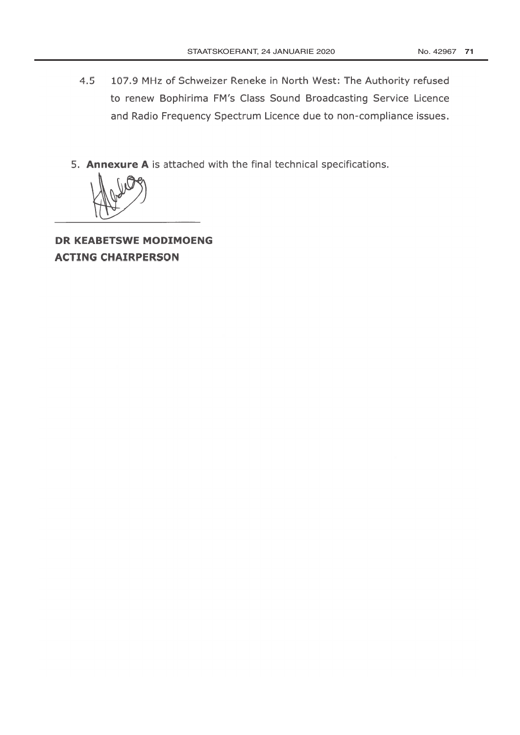- $4.5$ 107.9 MHz of Schweizer Reneke in North West: The Authority refused to renew Bophirima FM's Class Sound Broadcasting Service Licence and Radio Frequency Spectrum Licence due to non-compliance issues.
- 5. Annexure A is attached with the final technical specifications.



**DR KEABETSWE MODIMOENG ACTING CHAIRPERSON**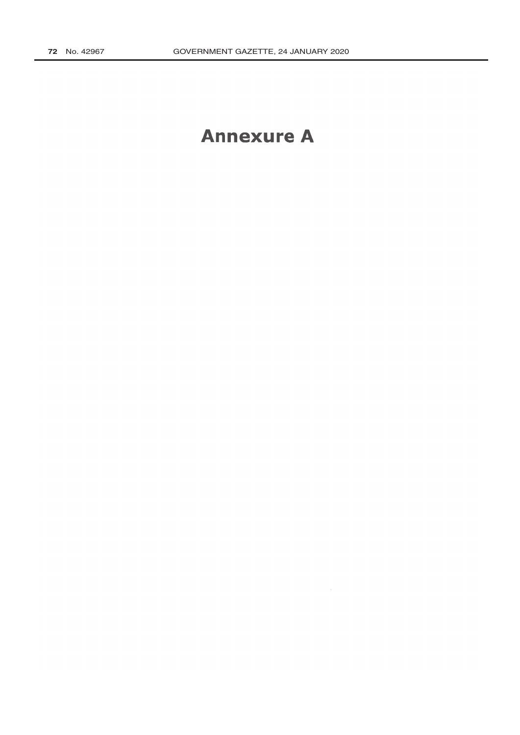## **Annexure A**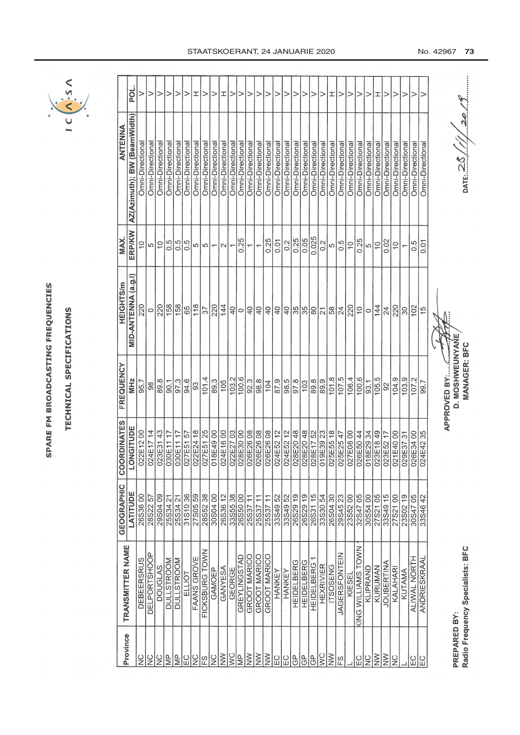| ï      |
|--------|
|        |
| ı      |
|        |
|        |
|        |
|        |
|        |
| ı      |
|        |
| ۱      |
|        |
|        |
|        |
|        |
|        |
|        |
| ۰<br>I |
|        |
|        |
|        |
|        |
|        |
|        |

## TECHNICAL SPECIFICATIONS TECHNICAL SPECIFICATIONS



| Province                             | TRANSMITTER NAME                 | <b>GEOGRAPHIC</b><br>LATITUDE  | <b>COORDINATES</b><br>ONGITUDE<br>J | FREQUENCY                    | MID-ANTENNA (a.g.l)<br><b>HEIGHTS/m</b> | ERP/KW<br>MAX.           | AZ(Azimuth); BW (BeamWidth)<br>ANTENNA | ត្ថ |
|--------------------------------------|----------------------------------|--------------------------------|-------------------------------------|------------------------------|-----------------------------------------|--------------------------|----------------------------------------|-----|
| $\frac{0}{2}$                        | <b>DEBEERSRUS</b>                | 26S3600                        | 022E1200                            | 95.7                         |                                         |                          | Omni-Directiona                        |     |
| $\frac{0}{2}$                        | <b>DELPORTSHOOP</b>              | 28S22 57                       | 024E1714                            | ္တ                           | $\circ$                                 | 이이능                      | Omni-Directiona                        |     |
| $\frac{0}{2}$                        | <b>DOUGLAS</b>                   | 29S0409                        | 023E31 43                           | $\overline{\phantom{1}89.8}$ | 220                                     |                          | Omni-Directiona                        |     |
| ψb                                   | <b>DULLSTROOM</b>                | 25S34 21                       | 030E1117                            | $\overline{5}$               | $\frac{158}{1}$                         | 0.5                      | Omni-Directiona                        |     |
| $\equiv$                             | <b>DULLSTROOM</b>                | 25S34 21                       | 71 11300CC                          | 97.3                         | 158                                     | 0.5                      | Omni-Directiona                        |     |
| $E_{C}$                              | ELLIOT                           | 31S1036                        | 027E5157                            | 94.6                         |                                         | 0.5                      | Omni-Directional                       |     |
| $\frac{C}{C}$                        | FAANS GROVE                      | 27S0559                        | 022E2418                            | ခြ                           | $\frac{65}{10}$                         |                          | Omni-Directional                       | ェ   |
| ကြ                                   | FICKSBURG TOWN                   | 28S5238                        | 027E51 25                           | 101.4                        | 57                                      | տ տ                      | Omni-Directional                       | >   |
| $rac{C}{Z}$                          | GAMOEP                           | 30S0400                        | 00 6P381C                           | 89.3                         | 220                                     | $\overline{\phantom{m}}$ | Omni-Directional                       | >   |
| $\geq$                               | GANYESA                          | 26S36 12                       | 00 91342                            | 105                          | 144                                     | $\sim$                   | Omni-Directional                       | ェ   |
| $\frac{1}{2}$                        | GEORGE                           | 33S55 38                       | 022E2703                            | 103.2                        |                                         | $\overline{\phantom{0}}$ | Omni-Directional                       |     |
| $\frac{\rho}{\epsilon}$              | <b>GREYLINGSTAD</b>              | 26S5000                        | 028E3000                            |                              |                                         | 0.25                     | Omni-Directiona                        |     |
| $\overline{\widetilde{\varepsilon}}$ | GROOT MARICO                     | $\overline{1}$<br>25S37        |                                     | $\frac{1000}{1000}$          |                                         |                          | Omni-Directiona                        |     |
| $\geq$                               | <b>GROOT MARICO</b>              | $\overline{1}$<br><b>25S37</b> | 326E2608                            |                              |                                         | $\overline{\phantom{0}}$ | Omni-Directiona                        |     |
| $\geq$                               | GROOT MARICO                     | 2553711                        | 026E2608                            | $\overline{104}$             |                                         | 0.25                     | Omni-Directiona                        |     |
| EC                                   | HANKEY                           | 33S4952                        | 024E5212                            | 87.9                         |                                         | 0.01                     | Omni-Directiona                        |     |
| EC                                   | HANKEY                           | 33S49 52                       | 024E52 12                           | $\frac{6}{98}$               |                                         | 0.2                      | Omni-Directiona                        |     |
| டு                                   | <b>HEIDELBERG</b>                | 26S29 19                       | 328E2048                            | 97.8                         |                                         | 0.25                     | Omni-Directiona                        |     |
| GP                                   | <b>HEIDELBERG</b>                | 26S2919                        |                                     | 103                          |                                         | 0.05                     | Omni-Directiona                        |     |
| <u>၉</u>                             | <b>HEIDELBERG</b>                | 26S3115                        | 028E20 48<br>028E17 52<br>019E39 23 | 89.8                         |                                         | 0.025                    | Omni-Directiona                        |     |
| ΙŠ                                   | <b>HEXRIVIER</b>                 | 33S30 54                       |                                     | 89.9                         |                                         | 0.2                      | Omni-Directiona                        |     |
| $\geq$                               | <b>ITSOSENG</b>                  | 26S0430                        | 025E5518                            | 101.8                        |                                         | LO                       | Omni-Directiona                        | ェ   |
| FS                                   | <b>JAGERSFONTEIN</b>             | 29S4523                        | 025E2547                            | 107.5                        |                                         | 0.5                      | Omni-Directiona                        |     |
|                                      | KIESEI                           | 23S5200                        | 00 80372                            | 106.4                        | 220                                     | $\frac{0}{1}$            | Omni-Directiona                        |     |
| 입                                    | <b>KING WILLIAMS TOWN</b>        | 32S4705                        | 026E5044                            | 100.6                        |                                         | 0.25                     | Omni-Directiona                        |     |
| $\frac{C}{Z}$                        | KLIPRAND                         | 30S5400                        | 018E2934                            | 93.1                         | $5 0 _4$                                | ∞∣⊝                      | Omni-Directiona                        |     |
| $\geq$                               | KURUMAN                          | 27S2105                        | 023E1849                            | 105.5                        |                                         |                          | Omni-Directiona                        | ェ   |
| $\geq$                               | <b>JOUBERTINA</b>                | 33S49 15                       | 023E5217                            | ္တ                           | $\overline{24}$                         | $\overline{\frac{8}{2}}$ | Omni-Directiona                        |     |
| $\frac{0}{2}$                        | KALAHARI                         | 27S2100                        | 00 0P31E40                          | 104.9                        | 220                                     | $\overline{C}$           | Omni-Directiona                        |     |
|                                      | KUTAMA                           | 23S0219                        | 029E3731                            | 103.9                        | $\frac{8}{30}$                          |                          | Omni-Directiona                        |     |
| E C                                  | ALIWAL NORTH                     | 30S4705                        | 00 PSB3200                          | 107.2                        | 102                                     | 0.5                      | Omni-Directiona                        |     |
| EC                                   | ANDRIESKRAAL                     | 33S4642                        | 024E4235                            | 99.7                         | $\frac{5}{1}$                           | $\overline{0}$           | Omni-Directiona                        |     |
|                                      |                                  |                                |                                     |                              |                                         |                          |                                        |     |
| PREPARED BY:                         |                                  |                                |                                     | D. MOSHWEUNYANE              |                                         |                          |                                        |     |
|                                      | Radio Frequency Specialists: BFC |                                |                                     | <b>MANAGER: BFC</b>          |                                         |                          | $\frac{25}{100}$                       |     |

 $\frac{25}{\frac{25}{25}}$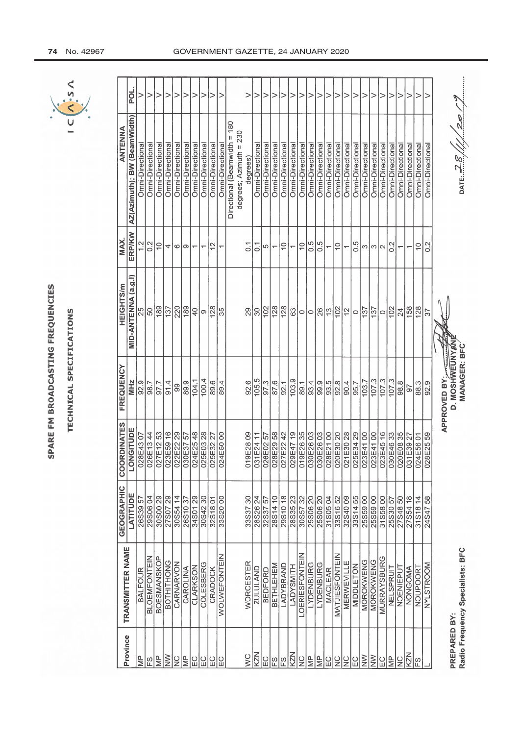| I           |
|-------------|
|             |
|             |
| I           |
| ı           |
|             |
| I           |
| ١           |
| I           |
|             |
| ı<br>1      |
|             |
|             |
|             |
|             |
| I<br>b<br>4 |
|             |
| j<br>ţ      |
|             |
| j           |

TECHNICAL SPECIFICATIONS CAL SPECIFICATIONS **DIZHOLL** 



|                    | POL.                        |                         | >                                | >                                   | >                | >                      | >                | >                        | >                        | ⊳                |                     |                              | >                      | >               |                  | >               | >                        | >               | >                |                       |                  | >                                   | >                        | >                | >                        | >                | >               | >                                   | >                  | >                 | >               | >                | >                |                         |                              |                                  |
|--------------------|-----------------------------|-------------------------|----------------------------------|-------------------------------------|------------------|------------------------|------------------|--------------------------|--------------------------|------------------|---------------------|------------------------------|------------------------|-----------------|------------------|-----------------|--------------------------|-----------------|------------------|-----------------------|------------------|-------------------------------------|--------------------------|------------------|--------------------------|------------------|-----------------|-------------------------------------|--------------------|-------------------|-----------------|------------------|------------------|-------------------------|------------------------------|----------------------------------|
| <b>ANTENNA</b>     | AZ(Azimuth); BW (BeamWidth) | <b>Omni-Directional</b> | Omni-Directional                 | Omni-Directional                    | Omni-Directional | Omni-Directional       | Omni-Directional | Omni-Directiona          | Omni-Directional         | Omni-Directional | Omni-Directional    | Directional (Beamwidth = 180 | degrees; Azimuth = 230 | degrees)        | Omni-Directional | Omni-Directiona | Omni-Directiona          | Omni-Directiona | Omni-Directiona  | Omni-Directiona       | Omni-Directional | Omni-Directiona                     | Omni-Directional         | Omni-Directional | Omni-Directional         | Omni-Directiona  | Omni-Directiona | Omni-Directiona                     | Omni-Directiona    | Omni-Directiona   | Omni-Directiona | Omni-Directional | Omni-Directional | <b>Omni-Directional</b> |                              | DATE: $28/\!/\!/$ 20/            |
| MAX.               | <b>ERP/KW</b>               |                         | 0.2                              | $\frac{1}{2}$                       | 4                | 0                      | ြ                | $\overline{\phantom{0}}$ | $\overline{\phantom{0}}$ | $\frac{2}{3}$    |                     |                              | $\overline{0}$         | $\overline{O}$  |                  | Ю               | $\overline{\phantom{0}}$ | $\frac{0}{1}$   | $\overline{}$    | $\frac{0}{1}$         | 0.5              | 0.5                                 | $\overline{\phantom{0}}$ | $\frac{1}{2}$    | $\overline{\phantom{0}}$ | 0.5              |                 | ന ന ∩                               |                    | 0.2               |                 |                  | $\frac{0}{1}$    | $\frac{2}{3}$           |                              |                                  |
| <b>HEIGHTS/m</b>   | MID-ANTENNA (a.g.l)         | 25                      |                                  | $\frac{8}{8}$                       | $\sqrt{37}$      | 220                    | 88               | $\overline{a}$           | တ                        | $\frac{128}{2}$  | 35                  |                              | 29                     | 30              |                  | 102             | 128                      | 128             |                  | ္ဗူ∞                  |                  |                                     |                          | $\frac{8}{2}$    | $\frac{1}{2}$            |                  |                 | $ {\circ} $ اقام $ {\circ} $        |                    | $\overline{102}$  | 24              | $\sqrt{158}$     | 128              | 57                      |                              |                                  |
| FREQUENCY          | MHz                         | $\frac{92.5}{98.7}$     |                                  | $\frac{1}{2}$                       | 91.4             | 99                     | 89.9             | 104.1                    | 100.4                    | 89.6             | 89.4                |                              | 92.6                   | 105.5           |                  | 97.3            | 87.6                     | 92.1            | 103.9            | 89.1                  | 93.4             |                                     | ာ<br>၁၁<br>၁၁<br>၁၁      | 92.8             | 90.4                     | 95.7             | 103.7           | $\frac{107.3}{107.3}$               |                    | $\frac{107.3}{ }$ | 98.8            | 97               | 88.3             | 92.9                    | APPROVED BY:<br>D. MOSHWEUNY | <b>MANAGER: BFC</b>              |
| <b>COORDINATES</b> | LONGITUDE                   | 028E4307                |                                  | 026E13 44<br>027E12 53<br>023E59 16 |                  | 022E22 29<br>030E37 57 |                  |                          | 024E2548                 | 025E32 27        | 024E5000            |                              | 019E2809               | 031E24 11       |                  | 026E0257        | 028E29 58<br>027E22 42   |                 | 029E4719         | 019E2635              |                  | 030E26 03<br>030E26 03<br>028E21 00 |                          | 020E30 20        | 021E30 28<br>025E34 29   |                  |                 | 023E41 00<br>023E41 00<br>023E45 16 |                    | 030E4633          | 020E0835        | 031E3927         | 024E5601         | 028E2559                |                              |                                  |
| <b>GEOGRAPHIC</b>  | LATITUDE                    | 26S39 57                | 29506 04<br>30500 29<br>27507 29 |                                     |                  | 3055414                | 26S1037          | 34S01 29                 |                          | 32S1801          | 33S2000             |                              | 33S3730                | 28S26 24        |                  | 32S37 57        | 28S14 10                 | 29S1018         | 28S3523          | 30S5732               | 25S06 20         |                                     | 25S06 20                 | 33S1652          | 32S4009                  | 33S1455          |                 | 25S5900                             | 3155800            | 25S30 57          | 27S4850         | 27S54 18         | 31S1814          | 24S4758                 |                              |                                  |
|                    | <b>TRANSMITTER NAME</b>     | <b>BALFOUR</b>          | <b>BLOEMFONTEIN</b>              | BOESMANSKOP                         | BOTHITHONG       | CARNARVON              | CAROLINA         | CLARKSON                 | COLESBERG                | <b>CRADOCK</b>   | <b>WOLWEFONTEIN</b> |                              | <b>WORCESTER</b>       | <b>ZULULAND</b> |                  | <b>BEDFORD</b>  | <b>BETHLEHEM</b>         | LADYBRAND       | <b>LADYSMITH</b> | <b>LOERIESFONTEIN</b> | <b>LYDENBURG</b> | <b>LYDENBURG</b>                    | MACLEAR                  | MATJIESFONTEIN   | MERWEVILLE               | <b>MIDDLETON</b> | MOROKWENG       | MOROKWENG                           | <b>MURRAYSBURG</b> | NELSPRUIT         | NOENIEPUT       | NONGOMA          | NOUPOORT         | NYLSTROOM               |                              | Radio Frequency Specialists: BFC |
|                    | Province                    | $\frac{p}{\epsilon}$    | ΕS                               | $\frac{P}{\leq}$                    | $\geq$           | $rac{C}{Z}$            | l€               |                          | 입입음                      |                  | ]임                  |                              | $\leq$                 | KZN             |                  |                 | 이이어                      |                 | KZN              | $\frac{0}{2}$         |                  | $rac{p}{\sqrt{2}}$                  | ΓC                       |                  | <u> 의의이론</u>             |                  |                 | $\geq$                              | EC                 | le                | $\frac{0}{2}$   | KZN              | FS               |                         | PREPARED BY:                 |                                  |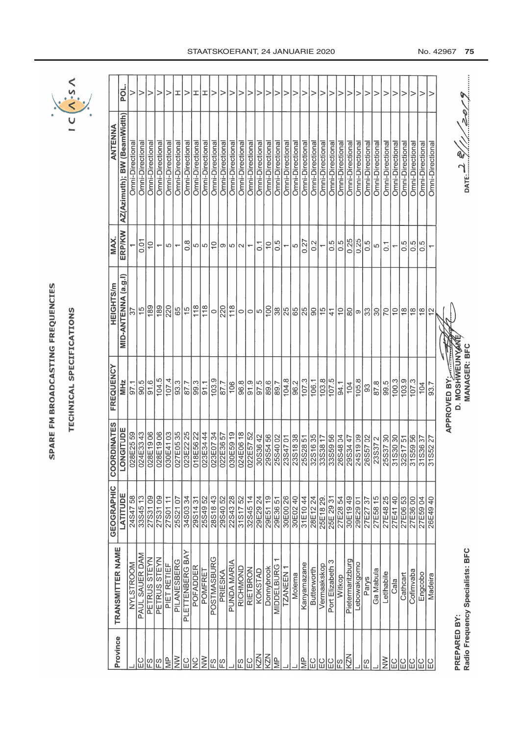| ı                                                                                                                         |
|---------------------------------------------------------------------------------------------------------------------------|
|                                                                                                                           |
|                                                                                                                           |
|                                                                                                                           |
| l                                                                                                                         |
| f                                                                                                                         |
|                                                                                                                           |
|                                                                                                                           |
|                                                                                                                           |
|                                                                                                                           |
|                                                                                                                           |
|                                                                                                                           |
|                                                                                                                           |
| l                                                                                                                         |
| ۵                                                                                                                         |
|                                                                                                                           |
|                                                                                                                           |
|                                                                                                                           |
|                                                                                                                           |
|                                                                                                                           |
| i                                                                                                                         |
| ì<br>l                                                                                                                    |
| l                                                                                                                         |
|                                                                                                                           |
| í<br><b>Contract Contract Contract Contract Contract Contract Contract Contract Contract Contract Contract Contract C</b> |
|                                                                                                                           |
|                                                                                                                           |
|                                                                                                                           |

# **TECHNICAL SPECIFICATIONS** TECHNICAL SPECIFICATIONS



| POL.                                    |                  |                        |                  |                          |                         | エ               |                                 | ェ                | エ                | >                 |                     |                 |                 |                 |                                                                                                                               |                      | >                 |                 |                 |                  |                      |                      |                 |                      |                  |                 |                  |                 |                 |                          |                 |                  |                  |                          |                                     |  |
|-----------------------------------------|------------------|------------------------|------------------|--------------------------|-------------------------|-----------------|---------------------------------|------------------|------------------|-------------------|---------------------|-----------------|-----------------|-----------------|-------------------------------------------------------------------------------------------------------------------------------|----------------------|-------------------|-----------------|-----------------|------------------|----------------------|----------------------|-----------------|----------------------|------------------|-----------------|------------------|-----------------|-----------------|--------------------------|-----------------|------------------|------------------|--------------------------|-------------------------------------|--|
| AZ(Azimuth); BW (BeamWidth)<br>ANTENNA  | Omni-Directiona  | Omni-Directional       | Omni-Directional | Omni-Directiona          | Omni-Directiona         | Omni-Directiona | Omni-Directiona                 | Omni-Directiona  | Omni-Directional | Omni-Directional  | Omni-Directional    | Omni-Directiona | Omni-Directiona | Omni-Directiona | Omni-Directiona                                                                                                               | Omni-Directiona      | Omni-Directional  | Omni-Directiona | Omni-Directiona | Omni-Directiona  | Omni-Directiona      | Omni-Directiona      | Omni-Directiona | Omni-Directional     | Omni-Directiona  | Omni-Directiona | Omni-Directiona  | Omni-Directiona | Omni-Directiona | Omni-Directiona          | Omni-Directiona | Omni-Directional | Omni-Directional | Omni-Directional         | 111000<br>$\mathsf{DATE}$           |  |
| <b>ERP/KW</b><br>MAX.                   |                  | 0.01                   | $\supseteq$      | $\overline{\phantom{0}}$ | $\frac{1}{2}$           |                 | $\frac{8}{2}$                   | ပေး              |                  | $\approx$         | ത $ w  \sim$        |                 |                 |                 | $\overline{0}$ .                                                                                                              | $\frac{0}{1}$        | 0.5               |                 | $-\frac{1}{6}$  |                  | 0.2                  |                      | 0.5             | 0.5                  | 0.25             | 0.25            | $0.\overline{5}$ | Ю               | $\overline{C}$  | $\overline{\phantom{0}}$ | 0.5             | 0.5              | 0.5              |                          |                                     |  |
| MID-ANTENNA (a.g.l)<br><b>HEIGHTS/m</b> | 57               | $\frac{6}{1}$          | 189              | 189                      | 220                     | $\frac{3}{15}$  |                                 | $\overline{118}$ | $\sqrt{18}$      | $\circ$           | 220                 | 118             |                 |                 | ୦ ୦  ୦  ဒ္ငုံနှုပ်ပြီး  ၁  ၁  ၁                                                                                               |                      |                   |                 |                 |                  |                      |                      | $\frac{4}{1}$   | $\overset{\circ}{=}$ | $\overline{8}$   | စ ္က            |                  | ္က              | 70              | $\frac{1}{2}$            | $\frac{8}{18}$  | $\frac{8}{1}$    | $\frac{8}{1}$    | $\frac{2}{3}$            |                                     |  |
| FREQUENCY<br>MHz                        | 97.1             | $\frac{6}{100}$        | $\frac{6}{91.6}$ | 104.5                    | 107.4                   | 93.3            | $\frac{1.18}{\frac{1.28}{\pi}}$ | $\frac{9.3}{ }$  | 91.1             | 103.9             | 87.7                | 106             |                 |                 | $\frac{8}{8}$ $\frac{1}{2}$ $\frac{1}{2}$ $\frac{1}{2}$ $\frac{1}{2}$ $\frac{1}{2}$ $\frac{1}{2}$ $\frac{1}{2}$ $\frac{1}{2}$ |                      |                   | 104.8           | 96.2            | $\sqrt{107.3}$   | 106.1                | 103.8                | 107.5           | 94.1                 | 104              | 105.8           | 33               | 87.8            | 99.5            | 100.3                    | 103.9           | 107.3            | 104              | 93.7                     | APPROVED BY:<br><b>MANAGER: BFC</b> |  |
| <b>COORDINATES</b><br>LONGITUDE         |                  | 028E25 59<br>024E33 43 |                  |                          |                         |                 |                                 |                  |                  |                   |                     |                 |                 | 022E57 52       | 30S36 42                                                                                                                      | 29S54 56<br>25S40 02 |                   | 23S4701         | 23S18 38        |                  | $\frac{3251635}{25}$ | 33S38 17<br>33S59 56 |                 | 26S4804              | 29S34 47         | 24S1909         | 26S5702          | 23S372          | 25S3730         | 31S3030                  | 32S1751         | 31S5956          | 31S3637          | $\overline{27}$<br>31S52 |                                     |  |
| <b>GEOGRAPHIC</b><br>LATITUDE           |                  | 24S4758                | 27S3109          | 27S31 09                 |                         | 25S2107         | 34S0334                         | 29S14 31         |                  | 28S1843           | 29S40 <sub>52</sub> | 22S4328         | 31S1752         | 3284514         | 29E29 24                                                                                                                      |                      | 29E3651           | 30E00 26        | 30E0240         | 31E1044          | 28E1224              | 25E1829              | 25E 29 31       | 27E2854              | 30E1949          | 29E2901         | 27E2737          | 27E58 15        | 27E48 25        | 27E41 40                 |                 | 27E3600          | 27E59 04         |                          |                                     |  |
| TRANSMITTER NAME                        | <b>NYLSTROOM</b> | PAUL SAUER DAM         | PETRUS STEYN     | PETRUS STEYN             | PIET RETIEF             | PILANESBERG     | PLETTENBERG BAY                 | <b>POFADDER</b>  | POMFRET          | <b>POSTMASBUR</b> | PRIESKA             | PUNDA MARIA     | RICHMOND        | RIETBRON        | KOKSTAD                                                                                                                       | Donnybrook           | <b>MIDDELBURG</b> | <b>TZANEEN</b>  | Molema          | Kanyamazane      | Butterworth          | Vermaakskop          | Port Elizabeth  | Witkop               | Pietermaritzburg | Lebowakgomo     | Parys            | Ga Mabula       | LetIhabile      | Cala                     | Cathcart        | Cofimvaba        | Engcobo          | Madeira                  | Radio Frequency Specialists: BFC    |  |
| Province                                |                  | EC                     | $\frac{1}{2}$    | 입                        | $\overline{\mathbb{R}}$ | $\geq$          | $\overline{E}$                  | $\frac{0}{2}$    | $\geq$           | ES                | 10                  |                 | က္              | IЯ              | KZN                                                                                                                           | KZN                  | $\frac{P}{\leq}$  |                 |                 | $\frac{p}{\sum}$ | $\Xi$                | E <sub>C</sub>       | EC              | 18                   | KZN              |                 | IS<br>ES         |                 | $\geqq$         | $\overline{E}$           | 입               |                  | ပ္ပုပ္ပုပ္ပ      |                          | PREPARED BY:                        |  |